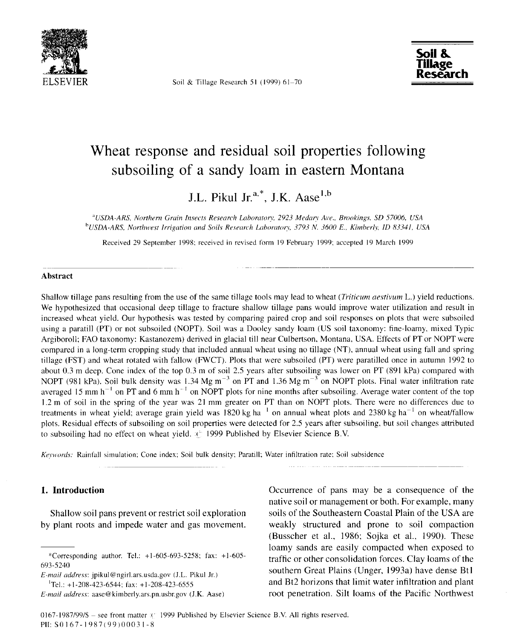

Soil & Tillage Research 51 (1999) 61-70



# Wheat response and residual soil properties following subsoiling of a sandy loam in eastern Montana

J.L. Pikul Jr.<sup>a,\*</sup>, J.K. Aase<sup>1,b</sup>

<sup>a</sup>USDA-ARS, Northern Grain Insects Research Laboratory, 2923 Medary Ave., *Brookings, SD 57006, USA <sup>b</sup> USDA-ARS, Northwest Irrigation and Soils Research Laboratory, 3793 N. 3600 E., Kimberly, ID 83341, USA*

Received 29 September 1998: received in revised form 19 February 1999; accepted 19 March 1999

#### **Abstract**

Shallow tillage pans resulting from the use of the same tillage tools may lead to wheat *(Triticum aestivum* L.) yield reductions. We hypothesized that occasional deep tillage to fracture shallow tillage pans would improve water utilization and result in increased wheat yield. Our hypothesis was tested by comparing paired crop and soil responses on plots that were subsoiled using a paratill (PT) or not subsoiled (NOPT). Soil was a Dooley sandy loam (US soil taxonomy: fine-loamy, mixed Typic Argiboroll; FAO taxonomy: Kastanozem) derived in glacial till near Culbertson, Montana, USA. Effects of PT or NOPT were compared in a long-term cropping study that included annual wheat using no tillage (NT), annual wheat using fall and spring tillage (FST) and wheat rotated with fallow (FWCT). Plots that were subsoiled (PT) were paratilled once in autumn 1992 to about 0.3 m deep. Cone index of the top 0.3 m of soil 2.5 years after subsoiling was lower on PT (891 kPa) compared with NOPT (981 kPa). Soil bulk density was 1.34 Mg m<sup>-3</sup> on PT and 1.36 Mg m<sup>-3</sup> on NOPT plots. Final water infiltration rate averaged 15 mm  $h^{-1}$  on PT and 6 mm  $h^{-1}$  on NOPT plots for nine months after subsoiling. Average water content of the top 1.2 m of soil in the spring of the year was 21 mm greater on PT than on NOPT plots. There were no differences due to treatments in wheat yield; average grain yield was 1820 kg ha<sup> $1$ </sup> on annual wheat plots and 2380 kg ha<sup> $-1$ </sup> on wheat/fallow plots. Residual effects of subsoiling on soil properties were detected for 2.5 years after subsoiling, but soil changes attributed to subsoiling had no effect on wheat yield. 1999 Published by Elsevier Science B.V.

*Keywords:* Rainfall simulation; Cone index; Soil bulk density; Paratill; Water infiltration rate; Soil subsidence

## **1. Introduction**

Shallow soil pans prevent or restrict soil exploration by plant roots and impede water and gas movement.

*E-mail address:* jpikul@ngirl.ars.usda.gov (J.L. Pikul Jr.)  $T$ el.: +1-208-423-6544; fax: +1-208-423-6555

Occurrence of pans may be a consequence of the native soil or management or both. For example, many soils of the Southeastern Coastal Plain of the USA are weakly structured and prone to soil compaction (Busscher et al., 1986; Sojka et al., 1990). These loamy sands are easily compacted when exposed to traffic or other consolidation forces. Clay loarns of the southern Great Plains (Unger, 1993a) have dense Bt1 and Bt2 horizons that limit water infiltration and plant root penetration. Silt loamy of the Pacific Northwest

<sup>\*</sup>Corresponding author. Tel.: +1-605-693-5258; fax: +1-605- 693-5240

*E-mail address:* aase@kimberly.ars.pn.usbr.gov (J.K. Aase)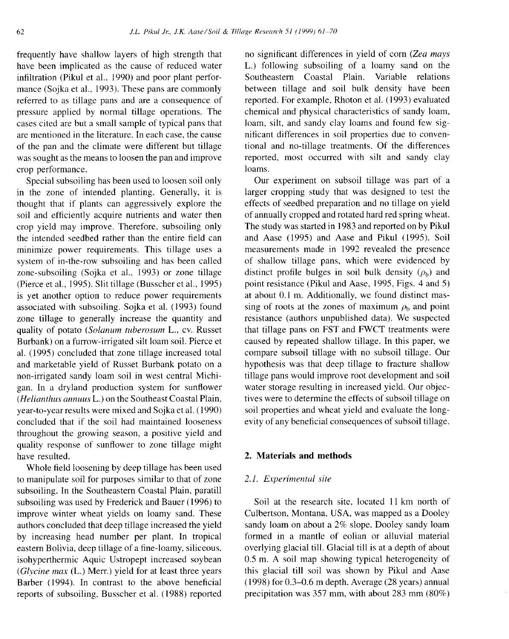frequently have shallow layers of high strength that have been implicated as the cause of reduced water infiltration (Pikul et al., 1990) and poor plant performance (Sojka et al., 1993). These pans are commonly referred to as tillage pans and are a consequence of pressure applied by normal tillage operations. The cases cited are but a small sample of typical pans that are mentioned in the literature. In each case, the cause of the pan and the climate were different but tillage was sought as the means to loosen the pan and improve crop performance.

Special subsoiling has been used to loosen soil only in the zone of intended planting. Generally, it is thought that if plants can aggressively explore the soil and efficiently acquire nutrients and water then crop yield may improve. Therefore, subsoiling only the intended seedbed rather than the entire field can minimize power requirements. This tillage uses a system of in-the-row subsoiling and has been called zone-subsoiling (Sojka et al., 1993) or zone tillage (Pierce et al., 1995). Slit tillage (Busscher et al., 1995) is yet another option to reduce power requirements associated with subsoiling. Sojka et al. (1993) found zone tillage to generally increase the quantity and quality of potato *(Solanum tuberosum* L., cv. Russet Burbank) on a furrow-irrigated silt loam soil. Pierce et al. (1995) concluded that zone tillage increased total and marketable yield of Russet Burbank potato on a non-irrigated sandy loam soil in west central Michigan. In a dryland production system for sunflower *(Helianthus annuus* L.) on the Southeast Coastal Plain, year-to-year results were mixed and Sojka et al. (1990) concluded that if the soil had maintained looseness throughout the growing season, a positive yield and quality response of sunflower to zone tillage might have resulted.

Whole field loosening by deep tillage has been used to manipulate soil for purposes similar to that of zone subsoiling. In the Southeastern Coastal Plain, paratill subsoiling was used by Frederick and Bauer (1996) to improve winter wheat yields on loamy sand. These authors concluded that deep tillage increased the yield by increasing head number per plant. In tropical eastern Bolivia, deep tillage of a fine-loamy, siliceous, isohyperthermic Aquic Ustropept increased soybean *(Glycine max (L.)* Merr.) yield for at least three years Barber (1994). In contrast to the above beneficial reports of subsoiling, Busscher et al. (1988) reported no significant differences in yield of corn *(Zea mays* L.) following subsoiling of a loamy sand on the Southeastern Coastal Plain. Variable relations between tillage and soil bulk density have been reported. For example, Rhoton et al. (1993) evaluated chemical and physical characteristics of sandy loam, loam, silt, and sandy clay loans and found few significant differences in soil properties due to conventional and no-tillage treatments. Of the differences reported, most occurred with silt and sandy clay loams.

Our experiment on subsoil tillage was part of a larger cropping study that was designed to test the effects of seedbed preparation and no tillage on yield of annually cropped and rotated hard red spring wheat. The study was started in 1983 and reported on by Pikul and Aase (1995) and Aase and Pikul (1995). Soil measurements made in 1992 revealed the presence of shallow tillage pans, which were evidenced by distinct profile bulges in soil bulk density  $(\rho_b)$  and point resistance (Pikul and Aase, 1995, Figs. 4 and 5) at about 0.1 m. Additionally, we found distinct massing of roots at the zones of maximum  $\rho_b$  and point resistance (authors unpublished data). We suspected that tillage pans on FST and FWCT treatments were caused by repeated shallow tillage. In this paper, we compare subsoil tillage with no subsoil tillage. Our hypothesis was that deep tillage to fracture shallow tillage pans would improve root development and soil water storage resulting in increased yield. Our objectives were to determine the effects of subsoil tillage on soil properties and wheat yield and evaluate the longevity of any beneficial consequences of subsoil tillage.

## 2. **Materials and methods**

#### *2.1. Experimental site*

Soil at the research site, located 11 km north of Culbertson, Montana, USA, was mapped as a Dooley sandy loam on about a 2% slope. Dooley sandy loam formed in a mantle of eolian or alluvial material overlying glacial till. Glacial till is at a depth of about 0.5 m. A soil map showing typical heterogeneity of this glacial till soil was shown by Pikul and Aase (1998) for 0.3-0.6 m depth. Average (28 years) annual precipitation was 357 mm, with about 283 mm (80%)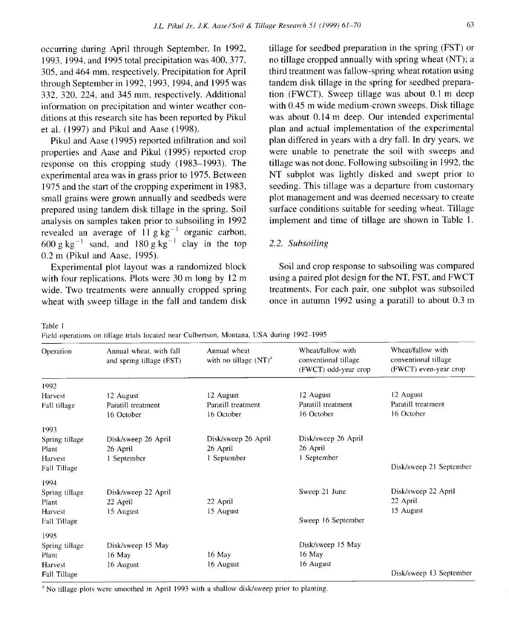occurring during April through September. In 1992, 1993, 1994, and 1995 total precipitation was 400, 377, 305, and 464 mm, respectively. Precipitation for April through September in 1992, 1993, 1994, and 1995 was 332, 320, 224, and 345 mm, respectively. Additional information on precipitation and winter weather conditions at this research site has been reported by Pikul et al. (1997) and Pikul and Aase (1998).

Pikul and Aase (1995) reported infiltration and soil properties and Aase and Pikul (1995) reported crop response on this cropping study (1983-1993). The experimental area was in grass prior to 1975. Between 1975 and the start of the cropping experiment in 1983, small grains were grown annually and seedbeds were prepared using tandem disk tillage in the spring. Soil analysis on samples taken prior to subsoiling in 1992 revealed an average of  $11 \text{ g kg}^{-1}$  organic carbon, 600 g kg<sup>-1</sup> sand, and 180 g kg<sup>-1</sup> clay in the top 0.2 m (Pikul and Aase, 1995).

Experimental plot layout was a randomized block with four replications. Plots were 30 m long by 12 m wide. Two treatments were annually cropped spring wheat with sweep tillage in the fall and tandem disk tillage for seedbed preparation in the spring (FST) or no tillage cropped annually with spring wheat (NT); a third treatment was fallow-spring wheat rotation using tandem disk tillage in the spring for seedbed preparation (FWCT). Sweep tillage was about 0.1 m deep with 0.45 m wide medium-crown sweeps. Disk tillage was about 0.14 m deep. Our intended experimental plan and actual implementation of the experimental plan differed in years with a dry fall. In dry years, we were unable to penetrate the soil with sweeps and tillage was not done. Following subsoiling in 1992, the NT subplot was lightly disked and swept prior to seeding. This tillage was a departure from customary plot management and was deemed necessary to create surface conditions suitable for seeding wheat. Tillage implement and time of tillage are shown in Table 1.

## 2.2. *Subsoiling*

Soil and crop response to subsoiling was compared using a paired plot design for the NT, FST, and FWCT treatments. For each pair, one subplot was subsoiled once in autumn 1992 using a paratill to about 0.3 m

Table 1

Field operations on tillage trials located near Culbertson, Montana, USA during 1992-1995

| Operation               | Annual wheat, with fall<br>and spring tillage (FST) | Annual wheat<br>with no tillage $(NT)^a$ | Wheat/fallow with<br>conventional tillage<br>(FWCT) odd-year crop | Wheat/fallow with<br>conventional tillage<br>(FWCT) even-year crop |
|-------------------------|-----------------------------------------------------|------------------------------------------|-------------------------------------------------------------------|--------------------------------------------------------------------|
| 1992                    |                                                     |                                          |                                                                   |                                                                    |
| Harvest                 | 12 August                                           | 12 August                                | 12 August                                                         | 12 August                                                          |
| Fall tillage            | Paratill treatment<br>16 October                    | Paratill treatment<br>16 October         | Paratill treatment<br>16 October                                  | Paratill treatment<br>16 October                                   |
| 1993                    |                                                     |                                          |                                                                   |                                                                    |
| Spring tillage          | Disk/sweep 26 April                                 | Disk/sweep 26 April                      | Disk/sweep 26 April                                               |                                                                    |
| Plant                   | 26 April                                            | 26 April                                 | 26 April                                                          |                                                                    |
| Harvest<br>Fall Tillage | 1 September                                         | 1 September                              | 1 September                                                       | Disk/sweep 21 September                                            |
| 1994                    |                                                     |                                          |                                                                   |                                                                    |
| Spring tillage          | Disk/sweep 22 April                                 |                                          | Sweep 21 June                                                     | Disk/sweep 22 April                                                |
| Plant                   | 22 April                                            | 22 April                                 |                                                                   | 22 April                                                           |
| Harvest                 | 15 August                                           | 15 August                                |                                                                   | 15 August                                                          |
| Fall Tillage            |                                                     |                                          | Sweep 16 September                                                |                                                                    |
| 1995                    |                                                     |                                          |                                                                   |                                                                    |
| Spring tillage          | Disk/sweep 15 May                                   |                                          | Disk/sweep 15 May                                                 |                                                                    |
| Plant                   | $16$ May                                            | 16 May                                   | 16 May                                                            |                                                                    |
| Harvest                 | 16 August                                           | 16 August                                | 16 August                                                         |                                                                    |
| Fall Tillage            |                                                     |                                          |                                                                   | Disk/sweep 13 September                                            |

<sup>a</sup> No tillage plots were smoothed in April 1993 with a shallow disk/sweep prior to planting.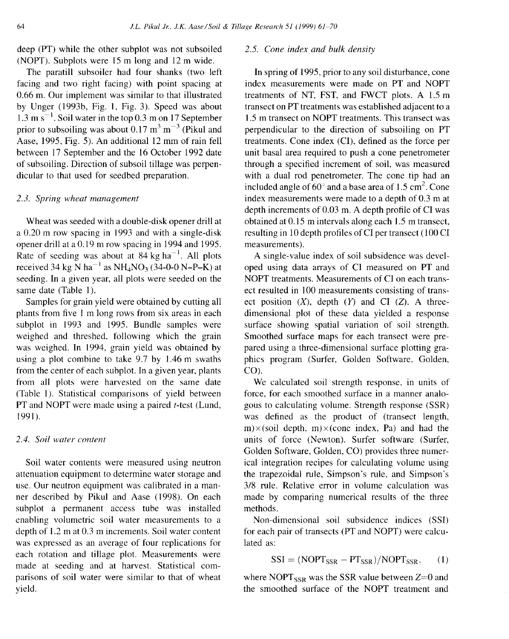deep (PT) while the other subplot was not subsoiled (NOPT). Subplots were 15 m long and 12 m wide.

The paratill subsoiler had four shanks (two left facing and two right facing) with point spacing at 0.66 m. Our implement was similar to that illustrated by Unger (1993b, Fig. 1, Fig. 3). Speed was about  $1.3 \text{ m s}^{-1}$ . Soil water in the top 0.3 m on 17 September prior to subsoiling was about 0.17  $\text{m}^3$   $\text{m}^{-3}$  (Pikul and Aase, 1995, Fig. 5). An additional 12 mm of rain fell between 17 September and the 16 October 1992 date of subsoiling. Direction of subsoil tillage was perpendicular to that used for seedbed preparation.

## *2.3. Spring wheat management*

Wheat was seeded with a double-disk opener drill at a 0.20 m row spacing in 1993 and with a single-disk opener drill at a 0.19 m row spacing in 1994 and 1995. Rate of seeding was about at  $84 \text{ kg ha}^{-1}$ . All plots received 34 kg N ha<sup> $-1$ </sup> as NH<sub>4</sub>NO<sub>3</sub> (34-0-0 N-P-K) at seeding. In a given year, all plots were seeded on the same date (Table 1).

Samples for grain yield were obtained by cutting all plants from five 1 m long rows from six areas in each subplot in 1993 and 1995. Bundle samples were weighed and threshed, following which the grain was weighed. In 1994, grain yield was obtained by using a plot combine to take 9.7 by 1.46 m swaths from the center of each subplot. In a given year, plants from all plots were harvested on the same date (Table 1). Statistical comparisons of yield between PT and NOPT were made using a paired *t*-test (Lund, 1991).

## *2.4. Soil water content*

Soil water contents were measured using neutron attenuation equipment to determine water storage and use. Our neutron equipment was calibrated in a manner described by Pikul and Aase (1998). On each subplot a permanent access tube was installed enabling volumetric soil water measurements to a depth of 1.2 m at 0.3 m increments. Soil water content was expressed as an average of four replications for each rotation and tillage plot. Measurements were made at seeding and at harvest. Statistical comparisons of soil water were similar to that of wheat yield.

#### *2.5. Cone index and bulk density*

In spring of 1995, prior to any soil disturbance, cone index measurements were made on PT and NOPT treatments of NT, FST, and FWCT plots. A 1.5 m transect on PT treatments was established adjacent to a 1.5 m transect on NOPT treatments. This transect was perpendicular to the direction of subsoiling on PT treatments. Cone index (CI), defined as the force per unit basal area required to push a cone penetrometer through a specified increment of soil, was measured with a dual rod penetrometer. The cone tip had an included angle of  $60^{\circ}$  and a base area of 1.5 cm<sup>2</sup>. Cone index measurements were made to a depth of 0.3 m at depth increments of 0.03 m. A depth profile of CI was obtained at 0.15 m intervals along each 1.5 m transect, resulting in 10 depth profiles of CI per transect (100 CI measurements).

A single-value index of soil subsidence was developed using data arrays of CI measured on PT and NOPT treatments. Measurements of CI on each transect resulted in 100 measurements consisting of transect position  $(X)$ , depth  $(Y)$  and CI  $(Z)$ . A threedimensional plot of these data yielded a response surface showing spatial variation of soil strength. Smoothed surface maps for each transect were prepared using a three-dimensional surface plotting graphics program (Surfer, Golden Software, Golden, CO).

We calculated soil strength response, in units of force, for each smoothed surface in a manner analogous to calculating volume. Strength response (SSR) was defined as the product of (transect length,  $m)\times$ (soil depth, m) $\times$ (cone index, Pa) and had the units of force (Newton). Surfer software (Surfer, Golden Software, Golden, CO) provides three numerical integration recipes for calculating volume using the trapezoidal rule, Simpson's rule, and Simpson's 3/8 rule. Relative error in volume calculation was made by comparing numerical results of the three methods.

Non-dimensional soil subsidence indices (SSI) for each pair of transects (PT and NOPT) were calculated as:

$$
SSI = (NOPT_{SSR} - PT_{SSR})/NOPT_{SSR}, \qquad (1)
$$

where NOPT<sub>SSR</sub> was the SSR value between  $Z=0$  and the smoothed surface of the NOPT treatment and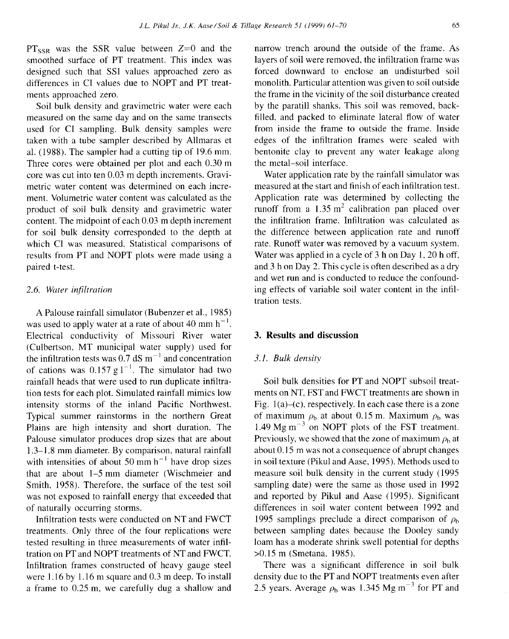$PT_{SSR}$  was the SSR value between  $Z=0$  and the smoothed surface of PT treatment. This index was designed such that SSI values approached zero as differences in CI values due to NOPT and PT treatments approached zero.

Soil bulk density and gravimetric water were each measured on the same day and on the same transects used for CI sampling. Bulk density samples were taken with a tube sampler described by Allmaras et al. (1988). The sampler had a cutting tip of 19.6 mm. Three cores were obtained per plot and each 0.30 m core was cut into ten 0.03 m depth increments. Gravimetric water content was determined on each increment. Volumetric water content was calculated as the product of soil bulk density and gravimetric water content. The midpoint of each 0.03 m depth increment for soil bulk density corresponded to the depth at which CI was measured. Statistical comparisons of results from PT and NOPT plots were made using a paired t-test.

## *2.6. Water infiltration*

A Palouse rainfall simulator (Bubenzer et al., 1985) was used to apply water at a rate of about 40 mm  $h^{-1}$ . Electrical conductivity of Missouri River water (Culbertson. MT municipal water supply) used for the infiltration tests was  $0.7$  dS m<sup>-1</sup> and concentration of cations was  $0.157 \text{ g l}^{-1}$ . The simulator had two rainfall heads that were used to run duplicate infiltration tests for each plot. Simulated rainfall mimics low intensity storms of the inland Pacific Northwest. Typical summer rainstorms in the northern Great Plains are high intensity and short duration. The Palouse simulator produces drop sizes that are about 1.3-1.8 mm diameter. By comparison, natural rainfall with intensities of about 50 mm  $h^{-1}$  have drop sizes that are about 1-5 mm diameter (Wischmeier and Smith, 1958). Therefore, the surface of the test soil was not exposed to rainfall energy that exceeded that of naturally occurring storms.

Infiltration tests were conducted on NT and FWCT treatments. Only three of the four replications were tested resulting in three measurements of water infiltration on PT and NOPT treatments of NT and FWCT. Infiltration frames constructed of heavy gauge steel were 1.16 by 1.16 m square and 0.3 m deep. To install a frame to 0.25 m, we carefully dug a shallow and narrow trench around the outside of the frame. As layers of soil were removed, the infiltration frame was forced downward to enclose an undisturbed soil monolith. Particular attention was given to soil outside the frame in the vicinity of the soil disturbance created by the paratill shanks. This soil was removed, backfilled, and packed to eliminate lateral flow of water from inside the frame to outside the frame. Inside edges of the infiltration frames were sealed with bentonite clay to prevent any water leakage along the metal-soil interface.

Water application rate by the rainfall simulator was measured at the start and finish of each infiltration test. Application rate was determined by collecting the runoff from a  $1.35 \text{ m}^2$  calibration pan placed over the infiltration frame. Infiltration was calculated as the difference between application rate and runoff rate. Runoff water was removed by a vacuum system. Water was applied in a cycle of 3 h on Day 1, 20 h off, and 3 h on Day 2. This cycle is often described as a dry and wet run and is conducted to reduce the confounding effects of variable soil water content in the infiltration tests.

## **3. Results and discussion**

## *3.1. Bulk density*

Soil bulk densities for PT and NOPT subsoil treatments on NT, FST and FWCT treatments are shown in Fig.  $1(a)$ –(c), respectively. In each case there is a zone of maximum  $\rho_b$  at about 0.15 m. Maximum  $\rho_b$  was 1.49 Mg  $\text{m}^{-3}$  on NOPT plots of the FST treatment. Previously, we showed that the zone of maximum  $\rho_{\rm h}$  at about 0.15 m was not a consequence of abrupt changes in soil texture (Pikul and Aase, 1995). Methods used to measure soil bulk density in the current study (1995 sampling date) were the same as those used in 1992 and reported by Pikul and Aase (1995). Significant differences in soil water content between 1992 and 1995 samplings preclude a direct comparison of *ph* between sampling dates because the Dooley sandy loam has a moderate shrink swell potential for depths >0.15 m (Smetana, 1985).

There was a significant difference in soil bulk density due to the PT and NOPT treatments even after 2.5 years. Average  $\rho_b$  was 1.345 Mg m<sup>-3</sup> for PT and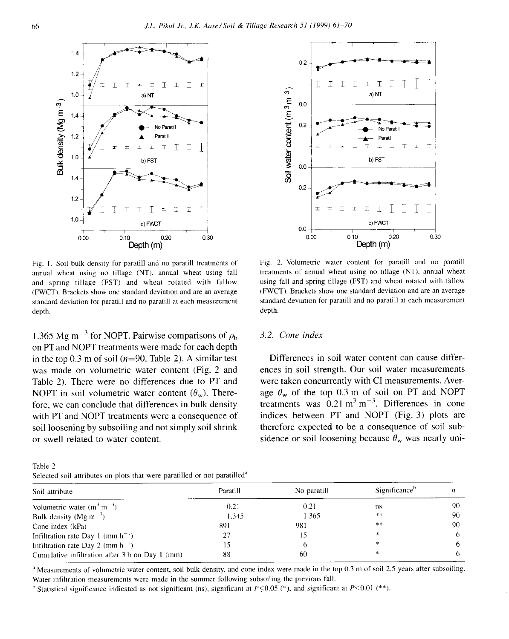

Fig. I. Soil bulk density for paratill and no paratill treatments of annual wheat using no tillage (NT). annual wheat using fall and spring tillage (FST) and wheat rotated with fallow (FWCT). Brackets show one standard deviation and are an average standard deviation for paratill and no paratill at each measurement depth.

1.365 Mg m<sup>-3</sup> for NOPT. Pairwise comparisons of  $\rho_b$ on PT and NOPT treatments were made for each depth in the top 0.3 m of soil ( $n=90$ , Table 2). A similar test was made on volumetric water content (Fig. 2 and Table 2). There were no differences due to PT and NOPT in soil volumetric water content  $(\theta_w)$ . Therefore, we can conclude that differences in bulk density with PT and NOPT treatments were a consequence of soil loosening by subsoiling and not simply soil shrink or swell related to water content.





Fig. 2. Volumetric water content for paratill and no paratill treatments of annual wheat using no tillage (NT), annual wheat using fall and spring tillage (FST) and wheat rotated with fallow (FWCT). Brackets show one standard deviation and are an average standard deviation for paratill and no paratill at each measurement depth.

## *3.2. Cone index*

Differences in soil water content can cause differences in soil strength. Our soil water measurements were taken concurrently with CI measurements. Average  $\theta_w$  of the top 0.3 m of soil on PT and NOPT treatments was  $0.21 \text{ m}^3 \text{ m}^{-3}$ . Differences in cone indices between PT and NOPT (Fig. 3) plots are therefore expected to be a consequence of soil subsidence or soil loosening because  $\theta_w$  was nearly uni-

| Soil attribute                                     | Paratill | No paratill | Significance <sup>b</sup> |    |
|----------------------------------------------------|----------|-------------|---------------------------|----|
| Volumetric water $(m3 m-3)$                        | 0.21     | 0.21        | ns                        | 90 |
| Bulk density (Mg m <sup><math>\beta</math></sup> ) | 1.345    | 1.365       | **                        | 90 |
| Cone index (kPa)                                   | 891      | 981         | $\gg \gg$                 | 90 |
| Infiltration rate Day 1 (mm $h^{-1}$ )             | 27       |             | $\ast$                    |    |
| Infiltration rate Day 2 (mm h <sup>-1</sup> )      |          |             | *                         |    |
| Cumulative infiltration after 3 h on Day 1 (mm)    | 88       | 60          | ∗                         |    |
|                                                    |          |             |                           |    |

<sup>a</sup> Measurements of volumetric water content, soil bulk density, and cone index were made in the top 0.3 m of soil 2.5 years after subsoiling. Water infiltration measurements were made in the summer following subsoiling the previous fall.

<sup>b</sup> Statistical significance indicated as not significant (ns), significant at  $P \le 0.05$  (\*), and significant at  $P \le 0.01$  (\*\*).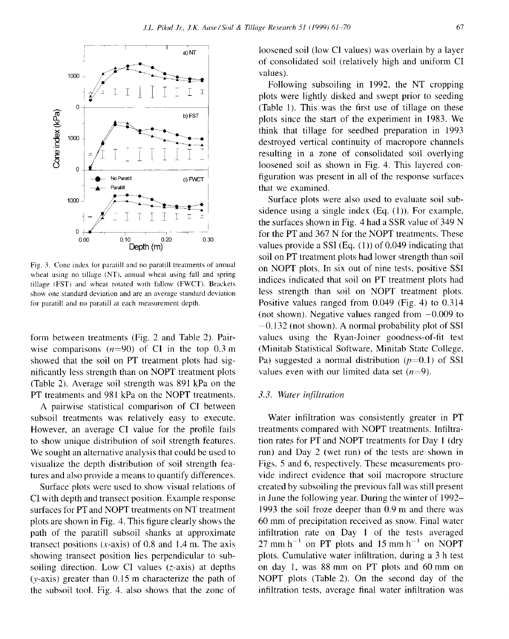

Fig. 3. Cone index for paratill and no paratill treatments of annual wheat using no tillage (NT), annual wheat using fall and spring tillage (FST) and wheat rotated with fallow (FWCT). Brackets show one standard deviation and are an average standard deviation for paratill and no paratill at each measurement depth.

form between treatments (Fig. 2 and Table 2). Pairwise comparisons  $(n=90)$  of CI in the top 0.3 m showed that the soil on PT treatment plots had significantly less strength than on NOPT treatment plots (Table 2). Average soil strength was 891 kPa on the PT treatments and 981 kPa on the NOPT treatments.

A pairwise statistical comparison of CI between subsoil treatments was relatively easy to execute. However, an average CI value for the profile fails to show unique distribution of soil strength features. We sought an alternative analysis that could be used to visualize the depth distribution of soil strength features and also provide a means to quantify differences.

Surface plots were used to show visual relations of CI with depth and transect position. Example response surfaces for PT and NOPT treatments on NT treatment plots are shown in Fig. 4. This figure clearly shows the path of the paratill subsoil shanks at approximate transect positions  $(x-axis)$  of 0.8 and 1.4 m. The axis showing transect position lies perpendicular to subsoiling direction. Low CI values (z-axis) at depths (y-axis) greater than 0.15 m characterize the path of the subsoil tool. Fig. 4. also shows that the zone of loosened soil (low CI values) was overlain by a layer of consolidated soil (relatively high and uniform CI values).

Following subsoiling in 1992, the NT cropping plots were lightly disked and swept prior to seeding (Table 1). This was the first use of tillage on these plots since the start of the experiment in 1983. We think that tillage for seedbed preparation in 1993 destroyed vertical continuity of macropore channels resulting in a zone of consolidated soil overlying loosened soil as shown in Fig. 4. This layered configuration was present in all of the response surfaces that we examined.

Surface plots were also used to evaluate soil subsidence using a single index (Eq. (1)). For example, the surfaces shown in Fig. 4 had a SSR value of 349 N for the PT and 367 N for the NOPT treatments. These values provide a SSI (Eq.  $(1)$ ) of 0.049 indicating that soil on PT treatment plots had lower strength than soil on NOPT plots. In six out of nine tests, positive SSI indices indicated that soil on PT treatment plots had less strength than soil on NOPT treatment plots. Positive values ranged from 0.049 (Fig. 4) to 0.314 (not shown). Negative values ranged from  $-0.009$  to  $-0.132$  (not shown). A normal probability plot of SSI values using the Ryan-Joiner goodness-of-fit test (Minitab Statistical Software, Minitab State College, Pa) suggested a normal distribution  $(p=0.1)$  of SSI values even with our limited data set  $(n=9)$ .

#### *3.3. Water infiltration*

Water infiltration was consistently greater in PT treatments compared with NOPT treatments. Infiltration rates for PT and NOPT treatments for Day 1 (dry run) and Day 2 (wet run) of the tests are shown in Figs. 5 and 6, respectively. These measurements provide indirect evidence that soil macropore structure created by subsoiling the previous fall was still present in June the following year. During the winter of 1992- 1993 the soil froze deeper than 0.9 m and there was 60 mm of precipitation received as snow. Final water infiltration rate on Day 1 of the tests averaged  $27 \text{ mm h}^{-1}$  on PT plots and 15 mm h<sup>-1</sup> on NOPT plots. Cumulative water infiltration, during a 3 h test on day 1, was 88 mm on PT plots and 60 mm on NOPT plots (Table 2). On the second day of the infiltration tests, average final water infiltration was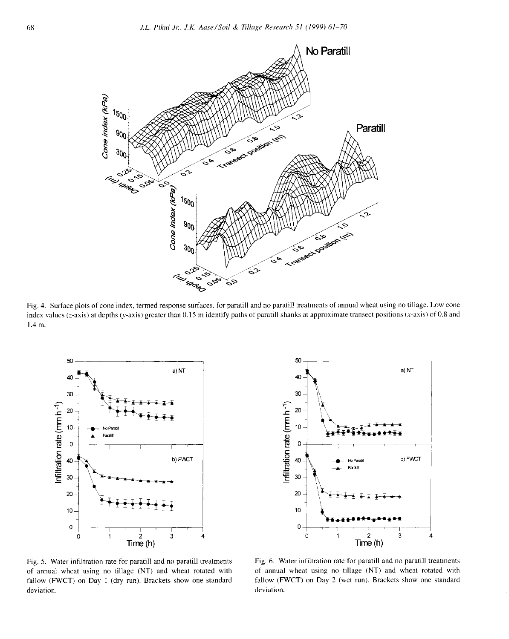

Fig. 4. Surface plots of cone index, termed response surfaces, for paratill and no paratill treatments of annual wheat using no tillage. Low cone index values (z-axis) at depths (y-axis) greater than 0.15 m identify paths of paratill shanks at approximate transect positions (x-axis) of 0.8 and 1.4 m.





Fig. 5. Water infiltration rate for paratill and no paratill treatments of annual wheat using no tillage (NT) and wheat rotated with fallow (FWCT) on Day I (dry run). Brackets show one standard deviation.

Fig. 6. Water infiltration rate for paratill and no paratill treatments of annual wheat using no tillage (NT) and wheat rotated with fallow (FWCT) on Day 2 (wet run). Brackets show one standard deviation.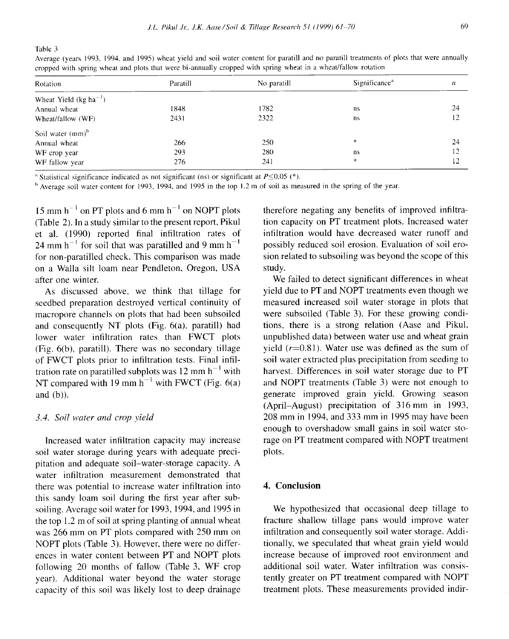Table 3

Average (years 1993, 1994, and 1995) wheat yield and soil water content for paratill and no paratill treatments of plots that were annually cropped with spring wheat and plots that were bi-annually cropped with spring wheat in a wheat/fallow rotation

| Rotation                                   | Paratill | No paratill | Significance <sup>a</sup> | n  |
|--------------------------------------------|----------|-------------|---------------------------|----|
|                                            |          |             |                           |    |
| Wheat Yield $(kg ha^{-1})$<br>Annual wheat | 1848     | 1782        | ns                        | 24 |
|                                            |          | 2322        |                           | 12 |
| Wheat/fallow (WF)                          | 2431     |             | ns                        |    |
| Soil water (mm) <sup>b</sup>               |          |             |                           |    |
| Annual wheat                               | 266      | 250         | *                         | 24 |
| WF crop year                               | 293      | 280         | ns                        | 12 |
| WF fallow year                             | 276      | 241         | *                         | 12 |

<sup>a</sup> Statistical significance indicated as not significant (ns) or significant at  $P \le 0.05$  (\*).

h Average soil water content for 1993, 1994. and 1995 in the top 1.2 m of soil as measured in the spring of the year.

15 mm  $h^{-1}$  on PT plots and 6 mm  $h^{-1}$  on NOPT plots (Table 2). In a study similar to the present report, Pikul et al. (1990) reported final infiltration rates of 24 mm  $h^{-1}$  for soil that was paratilled and 9 mm  $h^{-1}$ for non-paratilled check. This comparison was made on a Walla silt loam near Pendleton, Oregon, USA after one winter.

As discussed above, we think that tillage for seedbed preparation destroyed vertical continuity of macropore channels on plots that had been subsoiled and consequently NT plots (Fig. 6(a), paratill) had lower water infiltration rates than FWCT plots (Fig. 6(b), paratill). There was no secondary tillage of FWCT plots prior to infiltration tests. Final infiltration rate on paratilled subplots was 12 mm  $h^{-1}$  with NT compared with 19 mm  $h^{-1}$  with FWCT (Fig. 6(a) and (b)).

## *3.4. Soil water and crop yield*

Increased water infiltration capacity may increase soil water storage during years with adequate precipitation and adequate soil-water-storage capacity. A water infiltration measurement demonstrated that there was potential to increase water infiltration into this sandy loam soil during the first year after subsoiling. Average soil water for 1993, 1994, and 1995 in the top 1.2 m of soil at spring planting of annual wheat was 266 mm on PT plots compared with 250 mm on NOPT plots (Table 3). However, there were no differences in water content between PT and NOPT plots following 20 months of fallow (Table 3, WF crop year). Additional water beyond the water storage capacity of this soil was likely lost to deep drainage therefore negating any benefits of improved infiltration capacity on PT treatment plots. Increased water infiltration would have decreased water runoff and possibly reduced soil erosion. Evaluation of soil erosion related to subsoiling was beyond the scope of this study.

We failed to detect significant differences in wheat yield due to PT and NOPT treatments even though we measured increased soil water storage in plots that were subsoiled (Table 3). For these growing conditions, there is a strong relation (Aase and Pikul, unpublished data) between water use and wheat grain yield  $(r=0.81)$ . Water use was defined as the sum of soil water extracted plus precipitation from seeding to harvest. Differences in soil water storage due to PT and NOPT treatments (Table 3) were not enough to generate improved grain yield. Growing season (April-August) precipitation of 316 mm in 1993, 208 mm in 1994, and 333 mm in 1995 may have been enough to overshadow small gains in soil water storage on PT treatment compared with NOPT treatment plots.

## **4. Conclusion**

We hypothesized that occasional deep tillage to fracture shallow tillage pans would improve water infiltration and consequently soil water storage. Additionally, we speculated that wheat grain yield would increase because of improved root environment and additional soil water. Water infiltration was consistently greater on PT treatment compared with NOPT treatment plots. These measurements provided indir-